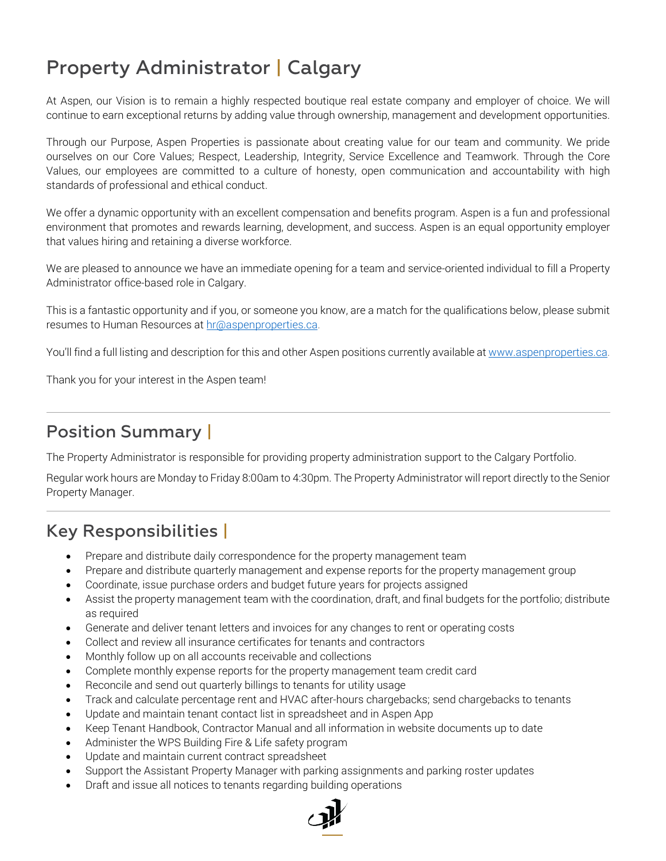## Property Administrator | Calgary

At Aspen, our Vision is to remain a highly respected boutique real estate company and employer of choice. We will continue to earn exceptional returns by adding value through ownership, management and development opportunities.

Through our Purpose, Aspen Properties is passionate about creating value for our team and community. We pride ourselves on our Core Values; Respect, Leadership, Integrity, Service Excellence and Teamwork. Through the Core Values, our employees are committed to a culture of honesty, open communication and accountability with high standards of professional and ethical conduct.

We offer a dynamic opportunity with an excellent compensation and benefits program. Aspen is a fun and professional environment that promotes and rewards learning, development, and success. Aspen is an equal opportunity employer that values hiring and retaining a diverse workforce.

We are pleased to announce we have an immediate opening for a team and service-oriented individual to fill a Property Administrator office-based role in Calgary.

This is a fantastic opportunity and if you, or someone you know, are a match for the qualifications below, please submit resumes to Human Resources at [hr@aspenproperties.ca.](mailto:hr@aspenproperties.ca)

You'll find a full listing and description for this and other Aspen positions currently available at www.aspenproperties.ca.

Thank you for your interest in the Aspen team!

## Position Summary |

The Property Administrator is responsible for providing property administration support to the Calgary Portfolio.

Regular work hours are Monday to Friday 8:00am to 4:30pm. The Property Administrator will report directly to the Senior Property Manager.

## Key Responsibilities |

- Prepare and distribute daily correspondence for the property management team
- Prepare and distribute quarterly management and expense reports for the property management group
- Coordinate, issue purchase orders and budget future years for projects assigned
- Assist the property management team with the coordination, draft, and final budgets for the portfolio; distribute as required
- Generate and deliver tenant letters and invoices for any changes to rent or operating costs
- Collect and review all insurance certificates for tenants and contractors
- Monthly follow up on all accounts receivable and collections
- Complete monthly expense reports for the property management team credit card
- Reconcile and send out quarterly billings to tenants for utility usage
- Track and calculate percentage rent and HVAC after-hours chargebacks; send chargebacks to tenants
- Update and maintain tenant contact list in spreadsheet and in Aspen App
- Keep Tenant Handbook, Contractor Manual and all information in website documents up to date
- Administer the WPS Building Fire & Life safety program
- Update and maintain current contract spreadsheet
- Support the Assistant Property Manager with parking assignments and parking roster updates
- Draft and issue all notices to tenants regarding building operations